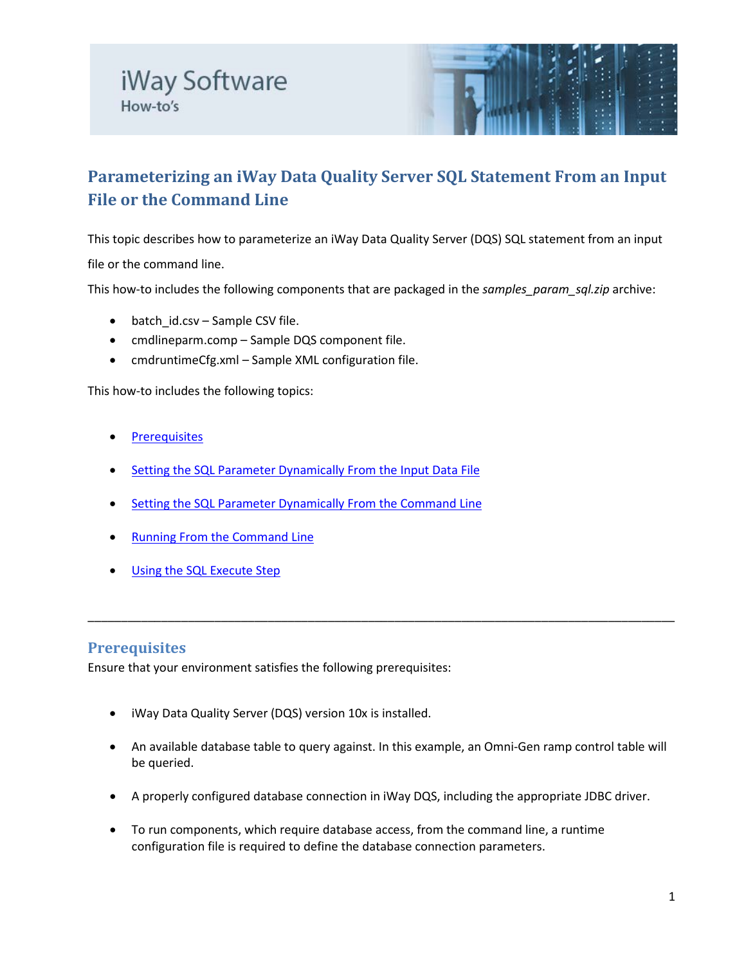

# **Parameterizing an iWay Data Quality Server SQL Statement From an Input File or the Command Line**

This topic describes how to parameterize an iWay Data Quality Server (DQS) SQL statement from an input file or the command line.

This how-to includes the following components that are packaged in the *samples\_param\_sql.zip* archive:

- batch\_id.csv Sample CSV file.
- cmdlineparm.comp Sample DQS component file.
- cmdruntimeCfg.xml Sample XML configuration file.

This how-to includes the following topics:

- **[Prerequisites](#page-0-0)**
- **[Setting the SQL Parameter Dynamically From the Input Data File](#page-0-0)**
- [Setting the SQL Parameter Dynamically From the Command Line](#page-3-0)
- [Running From the Command Line](#page-5-0)
- [Using the SQL Execute Step](#page-6-0)

#### <span id="page-0-0"></span>**Prerequisites**

Ensure that your environment satisfies the following prerequisites:

- iWay Data Quality Server (DQS) version 10x is installed.
- An available database table to query against. In this example, an Omni-Gen ramp control table will be queried.

\_\_\_\_\_\_\_\_\_\_\_\_\_\_\_\_\_\_\_\_\_\_\_\_\_\_\_\_\_\_\_\_\_\_\_\_\_\_\_\_\_\_\_\_\_\_\_\_\_\_\_\_\_\_\_\_\_\_\_\_\_\_\_\_\_\_\_\_\_\_\_\_\_\_\_\_\_\_\_\_\_\_\_\_\_\_\_\_

- A properly configured database connection in iWay DQS, including the appropriate JDBC driver.
- To run components, which require database access, from the command line, a runtime configuration file is required to define the database connection parameters.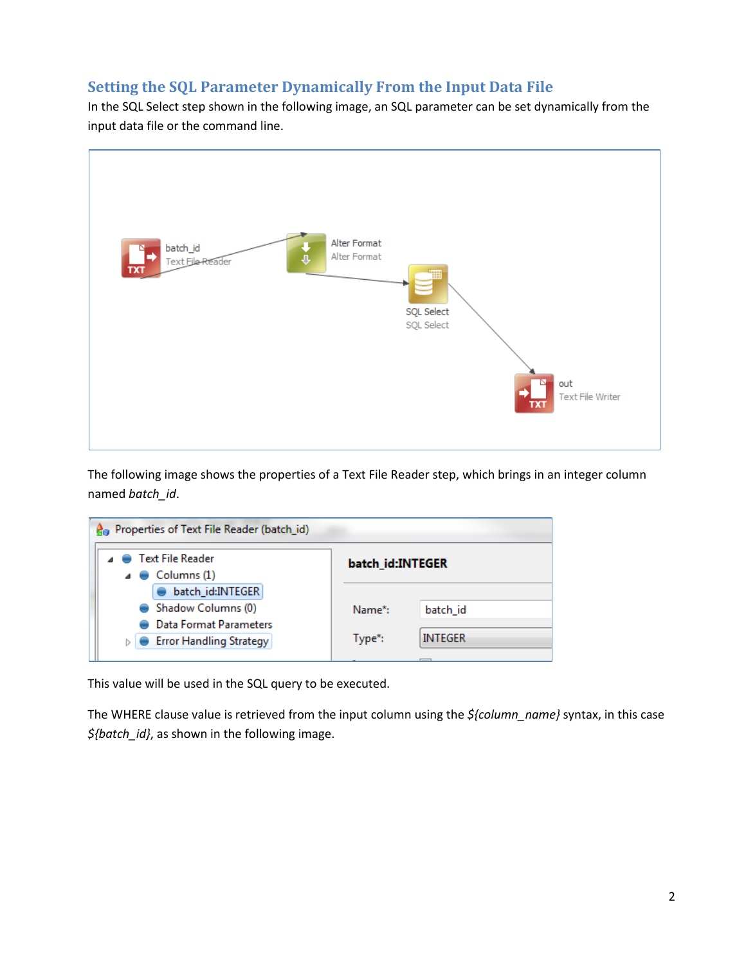## **Setting the SQL Parameter Dynamically From the Input Data File**

In the SQL Select step shown in the following image, an SQL parameter can be set dynamically from the input data file or the command line.



The following image shows the properties of a Text File Reader step, which brings in an integer column named *batch\_id*.

| Properties of Text File Reader (batch_id)                   |                  |                |
|-------------------------------------------------------------|------------------|----------------|
| ⊿ ● Text File Reader<br>$\triangle$ $\triangle$ Columns (1) | batch id:INTEGER |                |
| batch_id:INTEGER                                            |                  |                |
| Shadow Columns (0)                                          | Name*:           | batch id       |
| Data Format Parameters                                      |                  |                |
| <b>Error Handling Strategy</b>                              | Type*:           | <b>INTEGER</b> |
|                                                             |                  |                |

This value will be used in the SQL query to be executed.

The WHERE clause value is retrieved from the input column using the *\${column\_name}* syntax, in this case *\${batch\_id}*, as shown in the following image.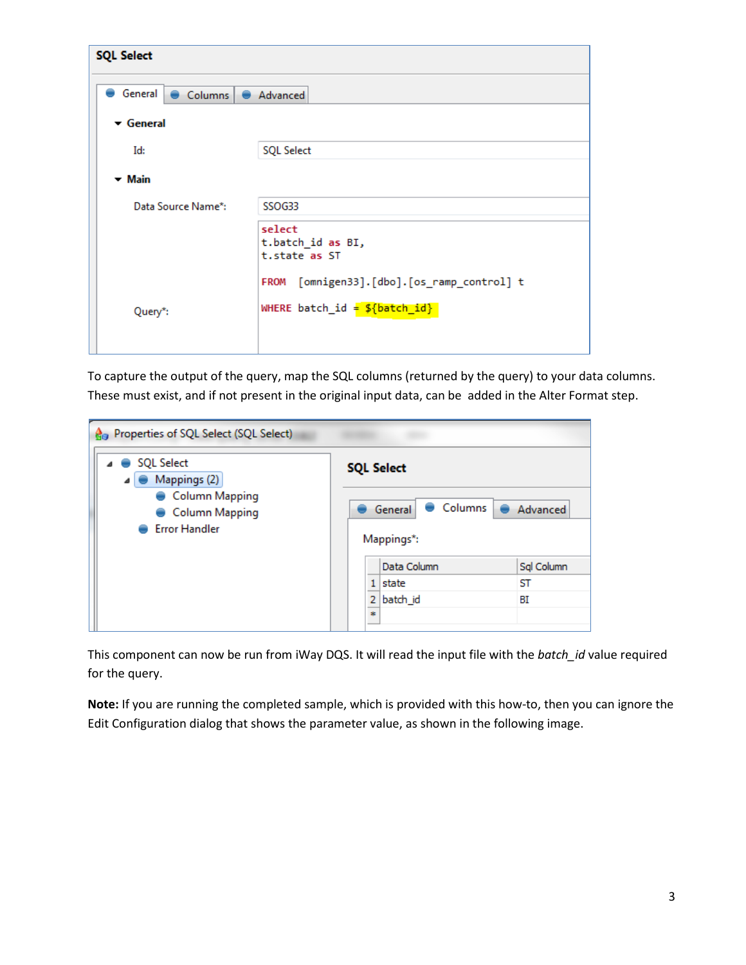| <b>SQL Select</b>             |                                                                                                      |  |
|-------------------------------|------------------------------------------------------------------------------------------------------|--|
| General Columns CAdvanced     |                                                                                                      |  |
| $\blacktriangleright$ General |                                                                                                      |  |
| Id:                           | <b>SQL Select</b>                                                                                    |  |
| $-$ Main                      |                                                                                                      |  |
| Data Source Name*:            | SSO <sub>G33</sub>                                                                                   |  |
|                               | select<br>t.batch_id as BI,<br>t.state as ST<br>[omnigen33].[dbo].[os_ramp_control] t<br><b>FROM</b> |  |
| Query*:                       | WHERE batch_id = $${batch_id}$                                                                       |  |

To capture the output of the query, map the SQL columns (returned by the query) to your data columns. These must exist, and if not present in the original input data, can be added in the Alter Format step.

| Properties of SQL Select (SQL Select)<br>Gэ                            |                                  |            |  |
|------------------------------------------------------------------------|----------------------------------|------------|--|
| <b>SQL Select</b><br>Mappings (2)                                      | <b>SQL Select</b>                |            |  |
| <b>Column Mapping</b><br><b>Column Mapping</b><br><b>Error Handler</b> | Columns<br>General<br>Mappings*: | Advanced   |  |
|                                                                        | Data Column                      | Sql Column |  |
|                                                                        | state<br>1                       | SТ         |  |
|                                                                        | batch_id<br>2                    | ΒI         |  |
|                                                                        | ÷                                |            |  |

This component can now be run from iWay DQS. It will read the input file with the *batch\_id* value required for the query.

**Note:** If you are running the completed sample, which is provided with this how-to, then you can ignore the Edit Configuration dialog that shows the parameter value, as shown in the following image.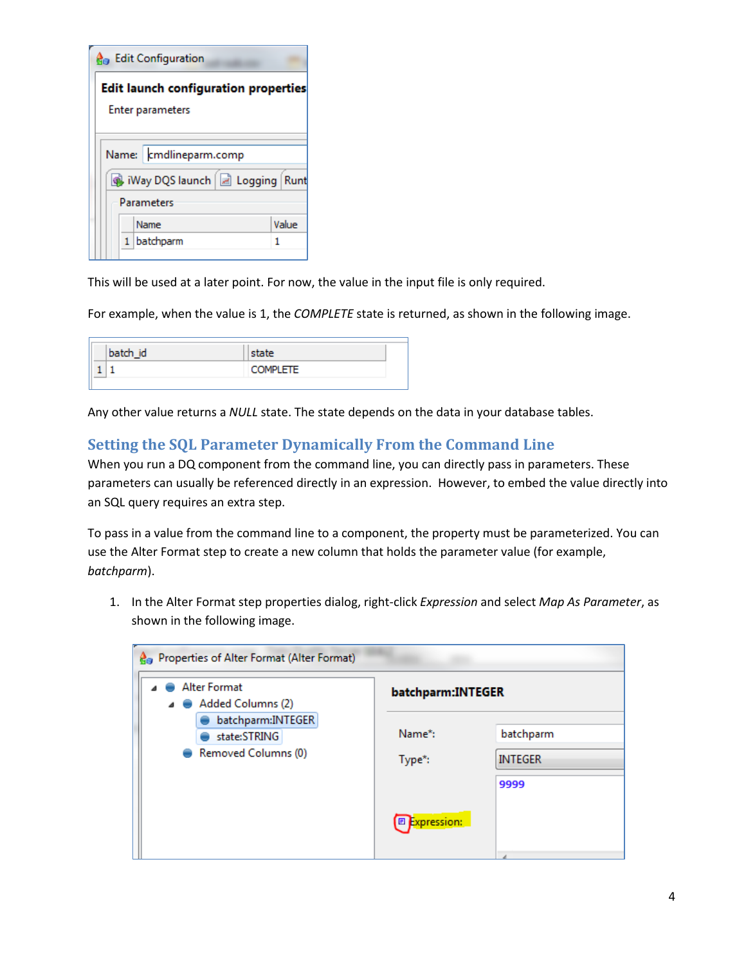|                                                                        | <b>A</b> <sub>n</sub> Edit Configuration                      |  |  |
|------------------------------------------------------------------------|---------------------------------------------------------------|--|--|
| <b>Edit launch configuration properties</b><br><b>Enter parameters</b> |                                                               |  |  |
|                                                                        | Name:   cmdlineparm.comp<br>Way DQS launch   a Logging   Runt |  |  |
|                                                                        | Parameters                                                    |  |  |
|                                                                        | Value<br>Name                                                 |  |  |
|                                                                        | batchparm                                                     |  |  |

This will be used at a later point. For now, the value in the input file is only required.

For example, when the value is 1, the *COMPLETE* state is returned, as shown in the following image.

| batch id | state           |  |
|----------|-----------------|--|
|          | <b>COMPLETE</b> |  |

<span id="page-3-0"></span>Any other value returns a *NULL* state. The state depends on the data in your database tables.

### **Setting the SQL Parameter Dynamically From the Command Line**

When you run a DQ component from the command line, you can directly pass in parameters. These parameters can usually be referenced directly in an expression. However, to embed the value directly into an SQL query requires an extra step.

To pass in a value from the command line to a component, the property must be parameterized. You can use the Alter Format step to create a new column that holds the parameter value (for example, *batchparm*).

1. In the Alter Format step properties dialog, right-click *Expression* and select *Map As Parameter*, as shown in the following image.

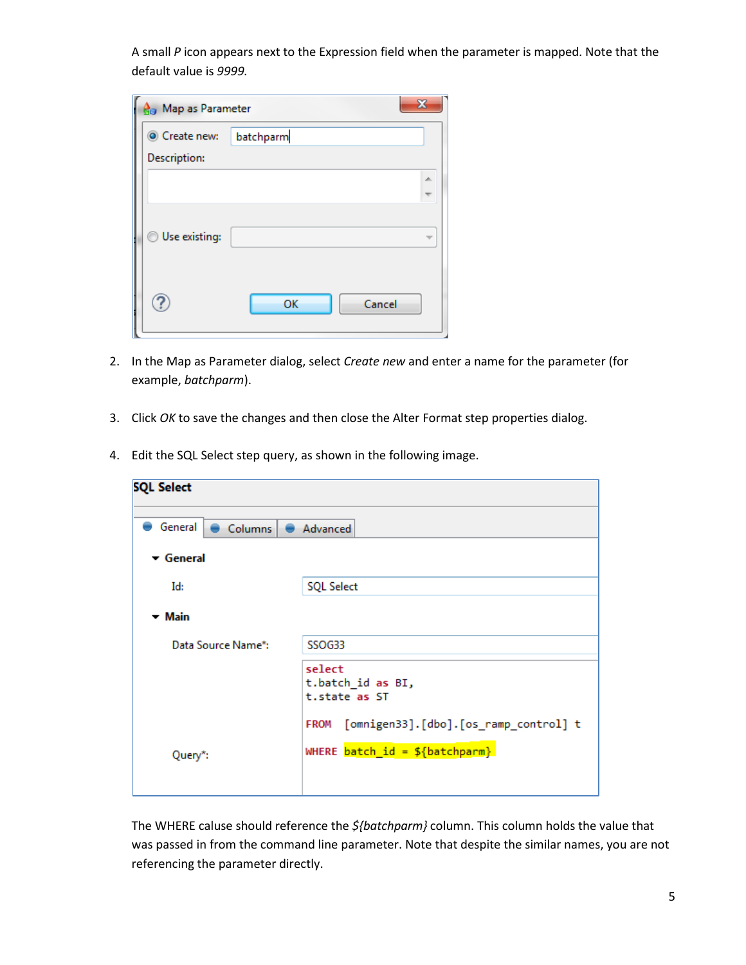A small *P* icon appears next to the Expression field when the parameter is mapped. Note that the default value is *9999.*

| <b>R</b> <sub>g</sub> Map as Parameter |              | X |
|----------------------------------------|--------------|---|
| Create new:                            | batchparm    |   |
| Description:                           |              |   |
|                                        |              | 杰 |
|                                        |              |   |
| Use existing:                          |              |   |
|                                        |              |   |
|                                        |              |   |
|                                        | OK<br>Cancel |   |
|                                        |              |   |

- 2. In the Map as Parameter dialog, select *Create new* and enter a name for the parameter (for example, *batchparm*).
- 3. Click *OK* to save the changes and then close the Alter Format step properties dialog.
- 4. Edit the SQL Select step query, as shown in the following image.

| <b>SQL Select</b>             |                                                                                                      |  |  |  |
|-------------------------------|------------------------------------------------------------------------------------------------------|--|--|--|
| General  <br>Columns Advanced |                                                                                                      |  |  |  |
| $\blacktriangleright$ General |                                                                                                      |  |  |  |
| Id:                           | <b>SQL Select</b>                                                                                    |  |  |  |
| $-$ Main                      |                                                                                                      |  |  |  |
| Data Source Name*:            | SSOG33                                                                                               |  |  |  |
|                               | select<br>t.batch id as BI,<br>t.state as ST<br>[omnigen33].[dbo].[os_ramp_control] t<br><b>FROM</b> |  |  |  |
| Query*:                       | WHERE $batch_id = ${batchparm}$                                                                      |  |  |  |

The WHERE caluse should reference the *\${batchparm}* column. This column holds the value that was passed in from the command line parameter. Note that despite the similar names, you are not referencing the parameter directly.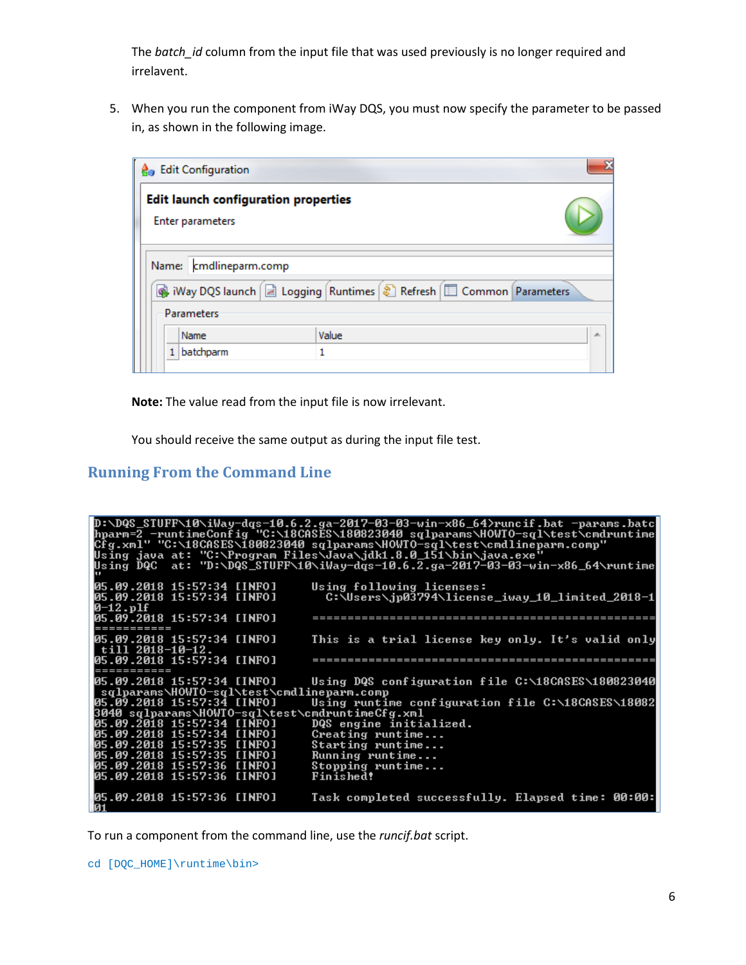The *batch\_id* column from the input file that was used previously is no longer required and irrelavent.

5. When you run the component from iWay DQS, you must now specify the parameter to be passed in, as shown in the following image.

| <b>A</b> <sub>B</sub> Edit Configuration                                |                        | X |  |
|-------------------------------------------------------------------------|------------------------|---|--|
| <b>Edit launch configuration properties</b><br><b>Enter parameters</b>  |                        |   |  |
|                                                                         |                        |   |  |
|                                                                         | Name: cmdlineparm.comp |   |  |
| Way DQS launch   a Logging   Runtimes   a Refresh   E Common Parameters |                        |   |  |
| <b>Parameters</b>                                                       |                        |   |  |
| Value<br>Name<br>∸                                                      |                        |   |  |
| batchparm                                                               |                        |   |  |

**Note:** The value read from the input file is now irrelevant.

You should receive the same output as during the input file test.

# <span id="page-5-0"></span>**Running From the Command Line**

|                                                 | D:\DQS_STUFF\10\iWay-dqs-10.6.2.ga-2017-03-03-win-x86_64>runcif.bat -params.batc<br><u> hparm=2_-runtimeConfig="C:\18CASES\180823040_sqlparams\HOWTO-sql\test\cmdruntime</u> |
|-------------------------------------------------|------------------------------------------------------------------------------------------------------------------------------------------------------------------------------|
|                                                 | Cfg.xml" "C:\18CASES\180823040 sqlparams\HOWTO-sql\test\cmdlineparm.comp"                                                                                                    |
|                                                 | Using java at: "C:∖Program Files√Java∖jdk1.8.0_151\bin\java.exe"<br>Using DQC at: "D:\DQS_STUFF\10\iWay-dqs-10.6.2.ga-2017-03-03-win-x86_64\runtime                          |
|                                                 |                                                                                                                                                                              |
| 05.09.2018 15:57:34 [INFO]                      | Using following licenses:                                                                                                                                                    |
| 05.09.2018 15:57:34 [INFO]                      | C:\Users\.jp03794\license_iway_10_limited_2018-1                                                                                                                             |
| 0–12.plf<br>05.09.2018 15:57:34 [INFO]          |                                                                                                                                                                              |
| =========                                       |                                                                                                                                                                              |
| 05.09.2018 15:57:34 [INFO]                      | This is a trial license key only. It's valid only                                                                                                                            |
| till 2018-10-12.                                |                                                                                                                                                                              |
| 05.09.2018 15:57:34 [INFO]                      |                                                                                                                                                                              |
|                                                 |                                                                                                                                                                              |
| 05.09.2018 15:57:34 [INFO]                      | Using DQS configuration file C:\18CASES\180823040                                                                                                                            |
| sqlparams\HOWTO-sql\test\cmdlineparm.comp       |                                                                                                                                                                              |
| 05.09.2018 15:57:34 [INFO]                      | Using runtime configuration file C:\18CASES\18082                                                                                                                            |
| 3040 sqlparams\HOWTO-sql\test\cmdruntimeCfg.xml |                                                                                                                                                                              |
| 05.09.2018 15:57:34 [INFO]                      | DQS engine initialized.                                                                                                                                                      |
| 05.09.2018 15:57:34 [INFO]                      | Creating runtime                                                                                                                                                             |
| 05.09.2018 15:57:35 [INFO]                      | Starting runtime                                                                                                                                                             |
| 05.09.2018 15:57:35 [INFO]                      | Running runtime                                                                                                                                                              |
| 05.09.2018 15:57:36 [INFO]                      | Stopping runtime                                                                                                                                                             |
| 05.09.2018 15:57:36 [INFO]                      | Finished!                                                                                                                                                                    |
| 05.09.2018 15:57:36 [INFO]<br>10 1              | Task completed successfully. Elapsed time: 00:00:                                                                                                                            |

To run a component from the command line, use the *runcif.bat* script.

cd [DQC\_HOME]\runtime\bin>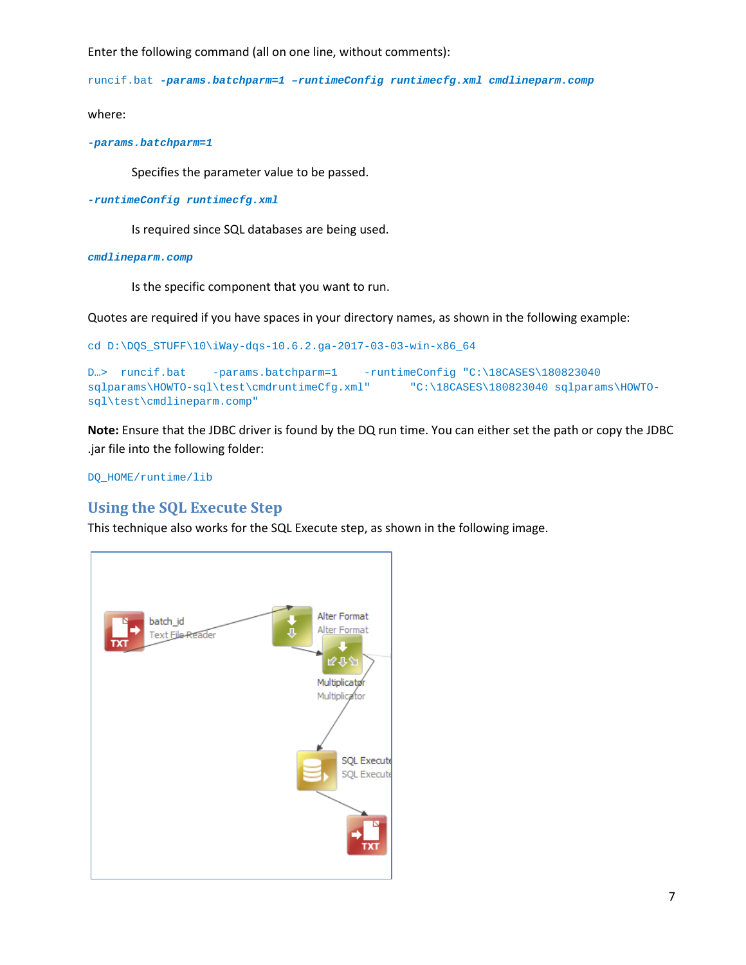Enter the following command (all on one line, without comments):

runcif.bat *-params.batchparm=1 –runtimeConfig runtimecfg.xml cmdlineparm.comp*

where:

*-params.batchparm=1*

Specifies the parameter value to be passed.

*-runtimeConfig runtimecfg.xml*

Is required since SQL databases are being used.

#### *cmdlineparm.comp*

Is the specific component that you want to run.

Quotes are required if you have spaces in your directory names, as shown in the following example:

```
cd D:\DQS_STUFF\10\iWay-dqs-10.6.2.ga-2017-03-03-win-x86_64
```

```
D…> runcif.bat -params.batchparm=1 -runtimeConfig "C:\18CASES\180823040 
sqlparams\HOWTO-sql\test\cmdruntimeCfg.xml" "C:\18CASES\180823040 sqlparams\HOWTO-
sql\test\cmdlineparm.comp"
```
**Note:** Ensure that the JDBC driver is found by the DQ run time. You can either set the path or copy the JDBC .jar file into the following folder:

DQ\_HOME/runtime/lib

#### <span id="page-6-0"></span>**Using the SQL Execute Step**

This technique also works for the SQL Execute step, as shown in the following image.